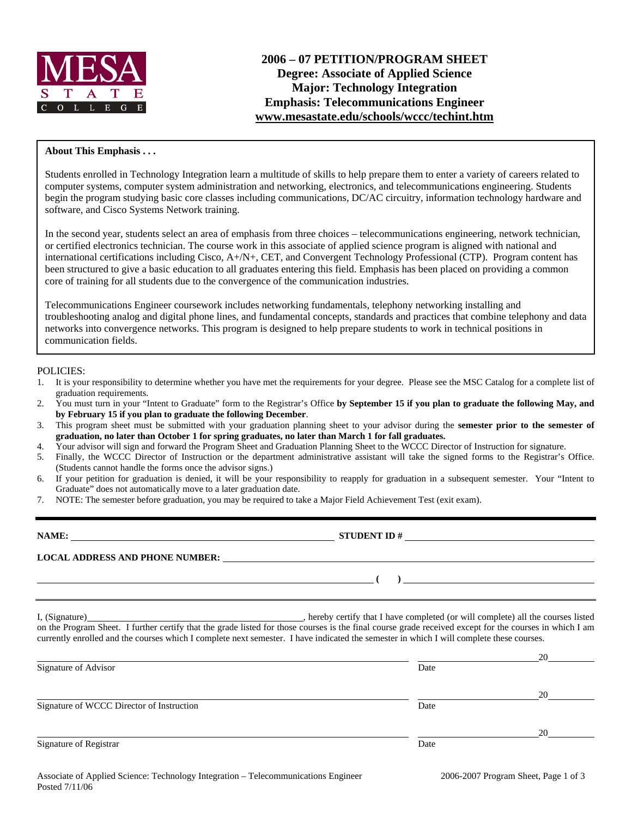

## **About This Emphasis . . .**

Students enrolled in Technology Integration learn a multitude of skills to help prepare them to enter a variety of careers related to computer systems, computer system administration and networking, electronics, and telecommunications engineering. Students begin the program studying basic core classes including communications, DC/AC circuitry, information technology hardware and software, and Cisco Systems Network training.

In the second year, students select an area of emphasis from three choices – telecommunications engineering, network technician, or certified electronics technician. The course work in this associate of applied science program is aligned with national and international certifications including Cisco, A+/N+, CET, and Convergent Technology Professional (CTP). Program content has been structured to give a basic education to all graduates entering this field. Emphasis has been placed on providing a common core of training for all students due to the convergence of the communication industries.

Telecommunications Engineer coursework includes networking fundamentals, telephony networking installing and troubleshooting analog and digital phone lines, and fundamental concepts, standards and practices that combine telephony and data networks into convergence networks. This program is designed to help prepare students to work in technical positions in communication fields.

### POLICIES:

- 1. It is your responsibility to determine whether you have met the requirements for your degree. Please see the MSC Catalog for a complete list of graduation requirements.
- 2. You must turn in your "Intent to Graduate" form to the Registrar's Office **by September 15 if you plan to graduate the following May, and by February 15 if you plan to graduate the following December**.
- 3. This program sheet must be submitted with your graduation planning sheet to your advisor during the **semester prior to the semester of graduation, no later than October 1 for spring graduates, no later than March 1 for fall graduates.**
- 4. Your advisor will sign and forward the Program Sheet and Graduation Planning Sheet to the WCCC Director of Instruction for signature.
- 5. Finally, the WCCC Director of Instruction or the department administrative assistant will take the signed forms to the Registrar's Office. (Students cannot handle the forms once the advisor signs.)
- 6. If your petition for graduation is denied, it will be your responsibility to reapply for graduation in a subsequent semester. Your "Intent to Graduate" does not automatically move to a later graduation date.
- 7. NOTE: The semester before graduation, you may be required to take a Major Field Achievement Test (exit exam).

| <b>NAME:</b>                           | <b>STUDENT ID#</b> |
|----------------------------------------|--------------------|
| <b>LOCAL ADDRESS AND PHONE NUMBER:</b> |                    |
|                                        |                    |

I, (Signature) , hereby certify that I have completed (or will complete) all the courses listed on the Program Sheet. I further certify that the grade listed for those courses is the final course grade received except for the courses in which I am currently enrolled and the courses which I complete next semester. I have indicated the semester in which I will complete these courses.

|                                           |      | 20 |
|-------------------------------------------|------|----|
| Signature of Advisor                      | Date |    |
|                                           |      |    |
|                                           |      | 20 |
| Signature of WCCC Director of Instruction | Date |    |
|                                           |      |    |
|                                           |      | 20 |
| Signature of Registrar                    | Date |    |
|                                           |      |    |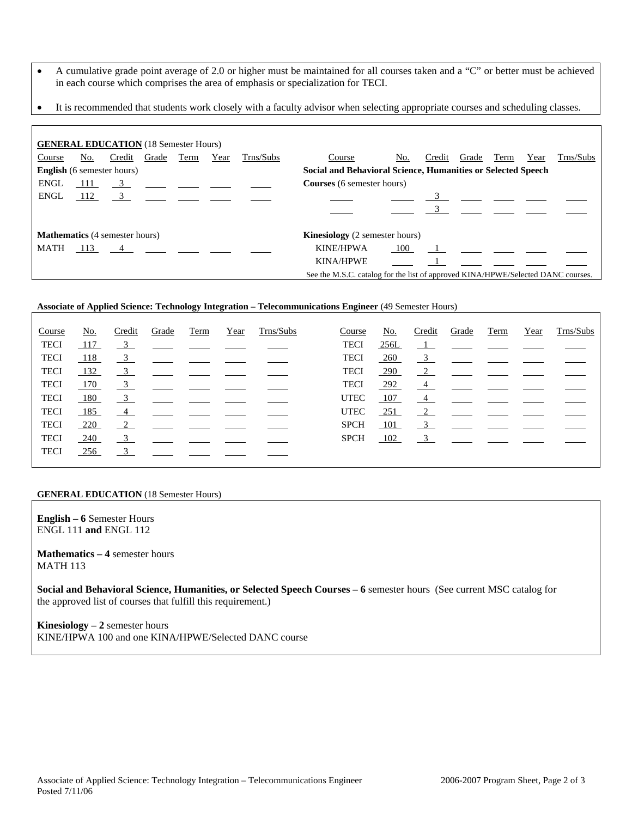- A cumulative grade point average of 2.0 or higher must be maintained for all courses taken and a "C" or better must be achieved in each course which comprises the area of emphasis or specialization for TECI.
- It is recommended that students work closely with a faculty advisor when selecting appropriate courses and scheduling classes.

| <b>GENERAL EDUCATION</b> (18 Semester Hours)                                                      |     |        |                                                         |      |      |           |                                                                                  |     |        |       |      |      |           |
|---------------------------------------------------------------------------------------------------|-----|--------|---------------------------------------------------------|------|------|-----------|----------------------------------------------------------------------------------|-----|--------|-------|------|------|-----------|
| Course                                                                                            | No. | Credit | Grade                                                   | Term | Year | Trns/Subs | Course                                                                           | No. | Credit | Grade | Term | Year | Trns/Subs |
| Social and Behavioral Science, Humanities or Selected Speech<br><b>English</b> (6 semester hours) |     |        |                                                         |      |      |           |                                                                                  |     |        |       |      |      |           |
| <b>ENGL</b>                                                                                       | 111 |        | $\frac{3}{2}$ $\frac{1}{2}$ $\frac{1}{2}$ $\frac{1}{2}$ |      |      |           | <b>Courses</b> (6 semester hours)                                                |     |        |       |      |      |           |
| <b>ENGL</b>                                                                                       | 112 | 3      |                                                         |      |      |           |                                                                                  |     |        |       |      |      |           |
|                                                                                                   |     |        |                                                         |      |      |           |                                                                                  |     |        |       |      |      |           |
| <b>Mathematics</b> (4 semester hours)                                                             |     |        |                                                         |      |      |           | <b>Kinesiology</b> (2 semester hours)                                            |     |        |       |      |      |           |
| MATH                                                                                              |     | 113 4  |                                                         |      |      |           | <b>KINE/HPWA</b>                                                                 | 100 |        |       |      |      |           |
|                                                                                                   |     |        |                                                         |      |      |           | <b>KINA/HPWE</b>                                                                 |     |        |       |      |      |           |
|                                                                                                   |     |        |                                                         |      |      |           | See the M.S.C. catalog for the list of approved KINA/HPWE/Selected DANC courses. |     |        |       |      |      |           |

## **Associate of Applied Science: Technology Integration – Telecommunications Engineer** (49 Semester Hours)

| Course      | <u>No.</u> | Credit                     | Grade | Term | Year | Trns/Subs | Course      | No.         | Credit                  | Grade                                                                                                      | Term | Year | Trns/Subs |
|-------------|------------|----------------------------|-------|------|------|-----------|-------------|-------------|-------------------------|------------------------------------------------------------------------------------------------------------|------|------|-----------|
| <b>TECI</b> | 117        | $\overline{\phantom{0}3}$  |       |      |      |           | <b>TECI</b> | <u>256L</u> |                         | $\frac{1}{\sqrt{1-\frac{1}{2}}}$ and $\frac{1}{\sqrt{1-\frac{1}{2}}}$ and $\frac{1}{\sqrt{1-\frac{1}{2}}}$ |      |      |           |
| <b>TECI</b> | 118        | $\overline{3}$             |       |      |      |           | <b>TECI</b> | 260         | $\frac{3}{2}$           |                                                                                                            |      |      |           |
| <b>TECI</b> | 132        | $\frac{3}{2}$              |       |      |      |           | <b>TECI</b> | 290         | $\frac{2}{2}$           |                                                                                                            |      |      |           |
| TECI        | 170        | $\overline{\phantom{0}3}$  |       |      |      |           | <b>TECI</b> | $-292$      | $\frac{4}{ }$           |                                                                                                            |      |      |           |
| <b>TECI</b> | 180        | $\frac{3}{2}$              |       |      |      |           | <b>UTEC</b> | 107         | $\frac{4}{ }$           |                                                                                                            |      |      |           |
| <b>TECI</b> | 185        | $\overline{4}$             |       |      |      |           | <b>UTEC</b> | <u>251</u>  | $\overline{2}$          |                                                                                                            |      |      |           |
| <b>TECI</b> | <u>220</u> | $\overline{\phantom{2}}^2$ |       |      |      |           | <b>SPCH</b> | 101         | $\overline{\mathbf{3}}$ |                                                                                                            |      |      |           |
| <b>TECI</b> | <u>240</u> | $\frac{3}{2}$              |       |      |      |           | <b>SPCH</b> | 102         | $\frac{3}{2}$           |                                                                                                            |      |      |           |
| <b>TECI</b> | 256        | 3                          |       |      |      |           |             |             |                         |                                                                                                            |      |      |           |
|             |            |                            |       |      |      |           |             |             |                         |                                                                                                            |      |      |           |

#### **GENERAL EDUCATION** (18 Semester Hours)

**English – 6** Semester Hours ENGL 111 **and** ENGL 112

**Mathematics – 4** semester hours MATH 113

**Social and Behavioral Science, Humanities, or Selected Speech Courses – 6** semester hours (See current MSC catalog for the approved list of courses that fulfill this requirement.)

**Kinesiology – 2** semester hours KINE/HPWA 100 and one KINA/HPWE/Selected DANC course